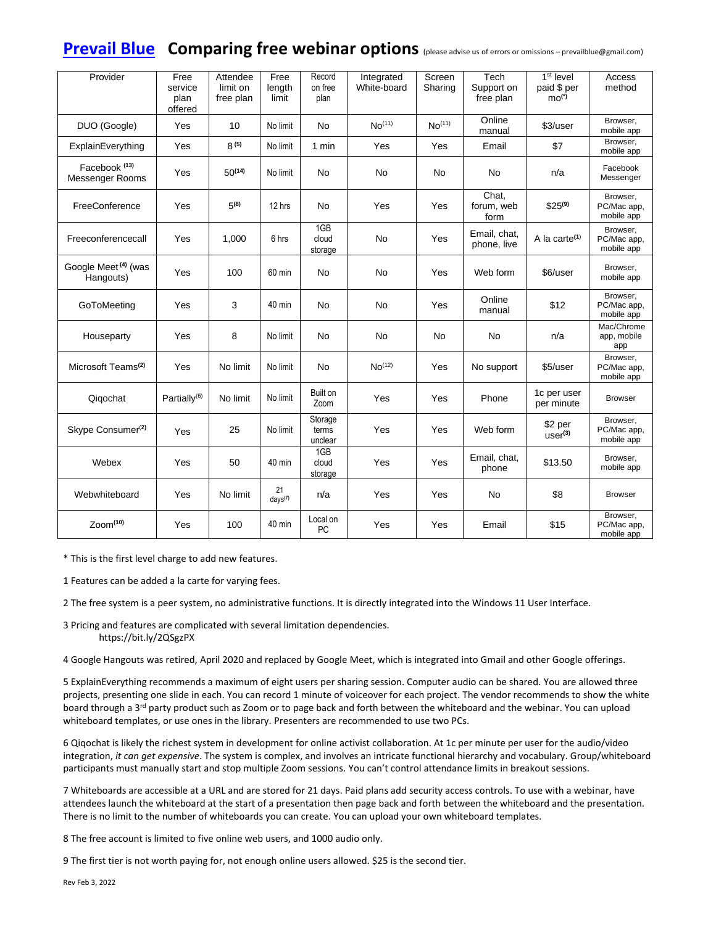# **[Prevail Blue](http://prevailblue.com/)** Comparing free webinar options (please advise us of errors or omissions – prevailblue@gmail.com)

| Provider                                     | Free<br>service<br>plan<br>offered | Attendee<br>limit on<br>free plan | Free<br>length<br>limit | Record<br>on free<br>plan   | Integrated<br>White-board | Screen<br>Sharing  | Tech<br>Support on<br>free plan | $1st$ level<br>paid \$ per<br>$mo(*)$ | Access<br>method                      |
|----------------------------------------------|------------------------------------|-----------------------------------|-------------------------|-----------------------------|---------------------------|--------------------|---------------------------------|---------------------------------------|---------------------------------------|
| DUO (Google)                                 | Yes                                | 10                                | No limit                | <b>No</b>                   | No <sup>(11)</sup>        | No <sup>(11)</sup> | Online<br>manual                | \$3/user                              | Browser.<br>mobile app                |
| ExplainEverything                            | Yes                                | $8^{(5)}$                         | No limit                | 1 min                       | Yes                       | Yes                | Email                           | \$7                                   | Browser,<br>mobile app                |
| Facebook <sup>(13)</sup><br>Messenger Rooms  | Yes                                | $50^{(14)}$                       | No limit                | <b>No</b>                   | <b>No</b>                 | No                 | <b>No</b>                       | n/a                                   | Facebook<br>Messenger                 |
| FreeConference                               | Yes                                | $5^{(8)}$                         | 12 hrs                  | <b>No</b>                   | Yes                       | Yes                | Chat,<br>forum, web<br>form     | $$25^{(9)}$                           | Browser.<br>PC/Mac app,<br>mobile app |
| Freeconferencecall                           | Yes                                | 1,000                             | 6 hrs                   | 1GB<br>cloud<br>storage     | <b>No</b>                 | Yes                | Email, chat,<br>phone, live     | A la carte $(1)$                      | Browser.<br>PC/Mac app,<br>mobile app |
| Google Meet <sup>(4)</sup> (was<br>Hangouts) | Yes                                | 100                               | 60 min                  | <b>No</b>                   | No                        | Yes                | Web form                        | \$6/user                              | Browser.<br>mobile app                |
| GoToMeeting                                  | Yes                                | 3                                 | 40 min                  | <b>No</b>                   | No                        | Yes                | Online<br>manual                | \$12                                  | Browser.<br>PC/Mac app,<br>mobile app |
| Houseparty                                   | Yes                                | 8                                 | No limit                | <b>No</b>                   | No                        | No                 | No.                             | n/a                                   | Mac/Chrome<br>app, mobile<br>app      |
| Microsoft Teams <sup>(2)</sup>               | Yes                                | No limit                          | No limit                | <b>No</b>                   | No <sup>(12)</sup>        | Yes                | No support                      | \$5/user                              | Browser,<br>PC/Mac app,<br>mobile app |
| Qiqochat                                     | Partially <sup>(6)</sup>           | No limit                          | No limit                | Built on<br>Zoom            | Yes                       | Yes                | Phone                           | 1c per user<br>per minute             | <b>Browser</b>                        |
| Skype Consumer <sup>(2)</sup>                | Yes                                | 25                                | No limit                | Storage<br>terms<br>unclear | Yes                       | Yes                | Web form                        | \$2 per<br>use <sup>(3)</sup>         | Browser.<br>PC/Mac app,<br>mobile app |
| Webex                                        | Yes                                | 50                                | 40 min                  | 1GB<br>cloud<br>storage     | Yes                       | Yes                | Email, chat,<br>phone           | \$13.50                               | Browser,<br>mobile app                |
| Webwhiteboard                                | Yes                                | No limit                          | 21<br>$days^{(7)}$      | n/a                         | Yes                       | Yes                | <b>No</b>                       | \$8                                   | <b>Browser</b>                        |
| $Z0$ cm <sup><math>(10)</math></sup>         | Yes                                | 100                               | 40 min                  | Local on<br>PC              | Yes                       | Yes                | Email                           | \$15                                  | Browser,<br>PC/Mac app,<br>mobile app |

\* This is the first level charge to add new features.

1 Features can be added a la carte for varying fees.

2 The free system is a peer system, no administrative functions. It is directly integrated into the Windows 11 User Interface.

3 Pricing and features are complicated with several limitation dependencies. https://bit.ly/2QSgzPX

4 Google Hangouts was retired, April 2020 and replaced by Google Meet, which is integrated into Gmail and other Google offerings.

5 ExplainEverything recommends a maximum of eight users per sharing session. Computer audio can be shared. You are allowed three projects, presenting one slide in each. You can record 1 minute of voiceover for each project. The vendor recommends to show the white board through a 3<sup>rd</sup> party product such as Zoom or to page back and forth between the whiteboard and the webinar. You can upload whiteboard templates, or use ones in the library. Presenters are recommended to use two PCs.

6 Qiqochat is likely the richest system in development for online activist collaboration. At 1c per minute per user for the audio/video integration, *it can get expensive*. The system is complex, and involves an intricate functional hierarchy and vocabulary. Group/whiteboard participants must manually start and stop multiple Zoom sessions. You can't control attendance limits in breakout sessions.

7 Whiteboards are accessible at a URL and are stored for 21 days. Paid plans add security access controls. To use with a webinar, have attendees launch the whiteboard at the start of a presentation then page back and forth between the whiteboard and the presentation. There is no limit to the number of whiteboards you can create. You can upload your own whiteboard templates.

8 The free account is limited to five online web users, and 1000 audio only.

9 The first tier is not worth paying for, not enough online users allowed. \$25 is the second tier.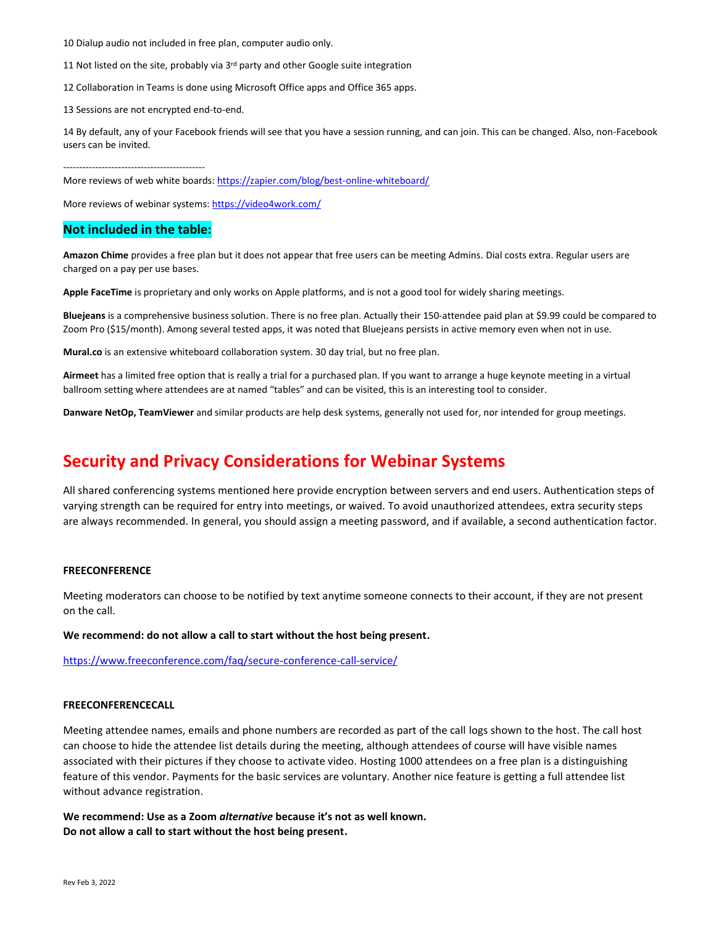10 Dialup audio not included in free plan, computer audio only.

11 Not listed on the site, probably via 3rd party and other Google suite integration

12 Collaboration in Teams is done using Microsoft Office apps and Office 365 apps.

13 Sessions are not encrypted end-to-end.

14 By default, any of your Facebook friends will see that you have a session running, and can join. This can be changed. Also, non-Facebook users can be invited.

--------------------------------------------

More reviews of web white boards: <https://zapier.com/blog/best-online-whiteboard/>

More reviews of webinar systems[: https://video4work.com/](https://video4work.com/)

## **Not included in the table:**

**Amazon Chime** provides a free plan but it does not appear that free users can be meeting Admins. Dial costs extra. Regular users are charged on a pay per use bases.

**Apple FaceTime** is proprietary and only works on Apple platforms, and is not a good tool for widely sharing meetings.

**Bluejeans** is a comprehensive business solution. There is no free plan. Actually their 150-attendee paid plan at \$9.99 could be compared to Zoom Pro (\$15/month). Among several tested apps, it was noted that Bluejeans persists in active memory even when not in use.

**Mural.co** is an extensive whiteboard collaboration system. 30 day trial, but no free plan.

**Airmeet** has a limited free option that is really a trial for a purchased plan. If you want to arrange a huge keynote meeting in a virtual ballroom setting where attendees are at named "tables" and can be visited, this is an interesting tool to consider.

**Danware NetOp, TeamViewer** and similar products are help desk systems, generally not used for, nor intended for group meetings.

# **Security and Privacy Considerations for Webinar Systems**

All shared conferencing systems mentioned here provide encryption between servers and end users. Authentication steps of varying strength can be required for entry into meetings, or waived. To avoid unauthorized attendees, extra security steps are always recommended. In general, you should assign a meeting password, and if available, a second authentication factor.

### **FREECONFERENCE**

Meeting moderators can choose to be notified by text anytime someone connects to their account, if they are not present on the call.

#### **We recommend: do not allow a call to start without the host being present.**

<https://www.freeconference.com/faq/secure-conference-call-service/>

#### **FREECONFERENCECALL**

Meeting attendee names, emails and phone numbers are recorded as part of the call logs shown to the host. The call host can choose to hide the attendee list details during the meeting, although attendees of course will have visible names associated with their pictures if they choose to activate video. Hosting 1000 attendees on a free plan is a distinguishing feature of this vendor. Payments for the basic services are voluntary. Another nice feature is getting a full attendee list without advance registration.

**We recommend: Use as a Zoom** *alternative* **because it's not as well known. Do not allow a call to start without the host being present.**